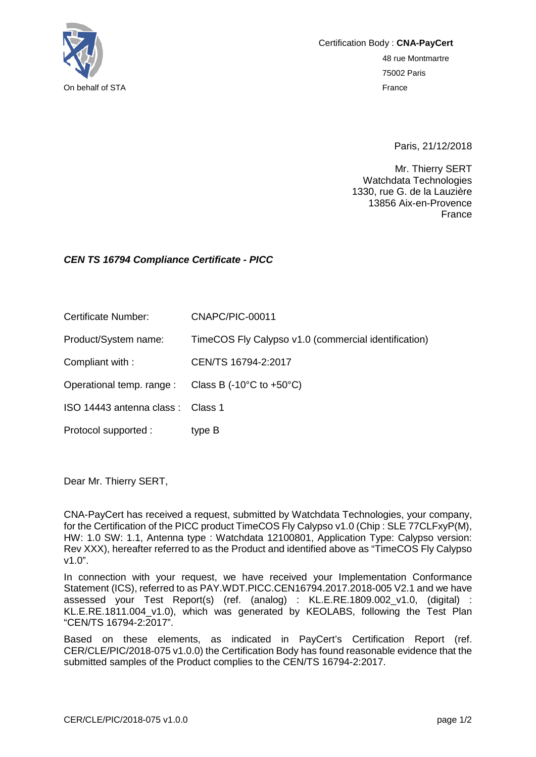

Certification Body : **CNA-PayCert** 48 rue Montmartre 75002 Paris On behalf of STA France Controller Controller Controller Controller Controller Controller Controller Controller

Paris, 21/12/2018

Mr. Thierry SERT Watchdata Technologies 1330, rue G. de la Lauzière 13856 Aix-en-Provence France

#### *CEN TS 16794 Compliance Certificate - PICC*

Certificate Number: CNAPC/PIC-00011

Product/System name: TimeCOS Fly Calypso v1.0 (commercial identification)

Compliant with : CEN/TS 16794-2:2017

Operational temp. range : Class B (-10°C to +50°C)

ISO 14443 antenna class : Class 1

Protocol supported : type B

Dear Mr. Thierry SERT,

CNA-PayCert has received a request, submitted by Watchdata Technologies, your company, for the Certification of the PICC product TimeCOS Fly Calypso v1.0 (Chip : SLE 77CLFxyP(M), HW: 1.0 SW: 1.1, Antenna type : Watchdata 12100801, Application Type: Calypso version: Rev XXX), hereafter referred to as the Product and identified above as "TimeCOS Fly Calypso v1.0".

In connection with your request, we have received your Implementation Conformance Statement (ICS), referred to as PAY.WDT.PICC.CEN16794.2017.2018-005 V2.1 and we have assessed your Test Report(s) (ref. (analog) : KL.E.RE.1809.002\_v1.0, (digital) : KL.E.RE.1811.004\_v1.0), which was generated by KEOLABS, following the Test Plan "CEN/TS 16794-2:2017".

Based on these elements, as indicated in PayCert's Certification Report (ref. CER/CLE/PIC/2018-075 v1.0.0) the Certification Body has found reasonable evidence that the submitted samples of the Product complies to the CEN/TS 16794-2:2017.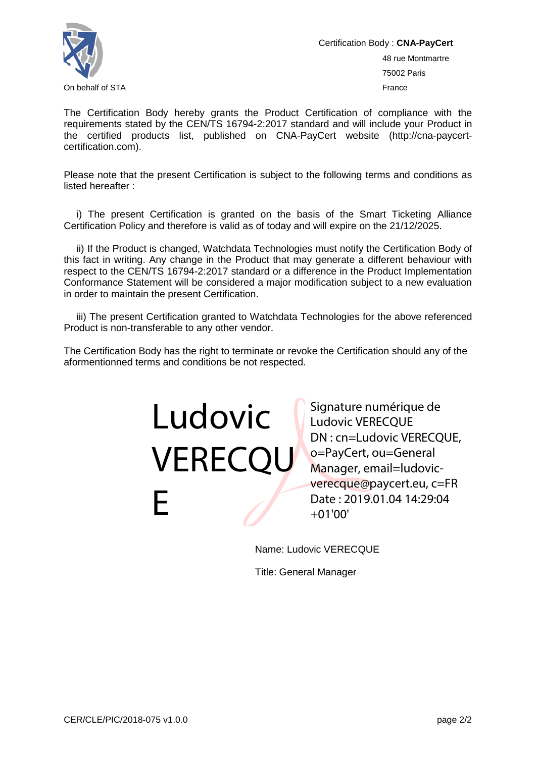

Certification Body : **CNA-PayCert** 48 rue Montmartre 75002 Paris

The Certification Body hereby grants the Product Certification of compliance with the requirements stated by the CEN/TS 16794-2:2017 standard and will include your Product in the certified products list, published on CNA-PayCert website (http://cna-paycertcertification.com).

Please note that the present Certification is subject to the following terms and conditions as listed hereafter :

i) The present Certification is granted on the basis of the Smart Ticketing Alliance Certification Policy and therefore is valid as of today and will expire on the 21/12/2025.

ii) If the Product is changed, Watchdata Technologies must notify the Certification Body of this fact in writing. Any change in the Product that may generate a different behaviour with respect to the CEN/TS 16794-2:2017 standard or a difference in the Product Implementation Conformance Statement will be considered a major modification subject to a new evaluation in order to maintain the present Certification.

iii) The present Certification granted to Watchdata Technologies for the above referenced Product is non-transferable to any other vendor.

The Certification Body has the right to terminate or revoke the Certification should any of the aformentionned terms and conditions be not respected.

# Ludovic VERECQU O=PayCert, ou=General E

Signature numérique de Signature numérique DN : cn=Ludovic VERECQUE, Manager, email=ludovicverecque@paycert.eu, c=FR Date : 2019.01.04 14:29:04 +01'00'

Name: Ludovic VERECQUE

Title: General Manager